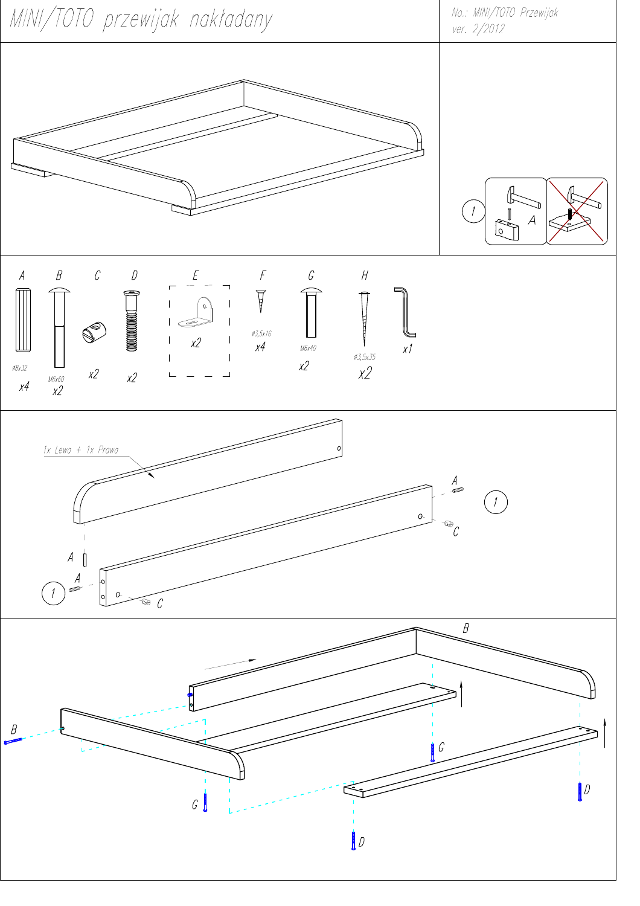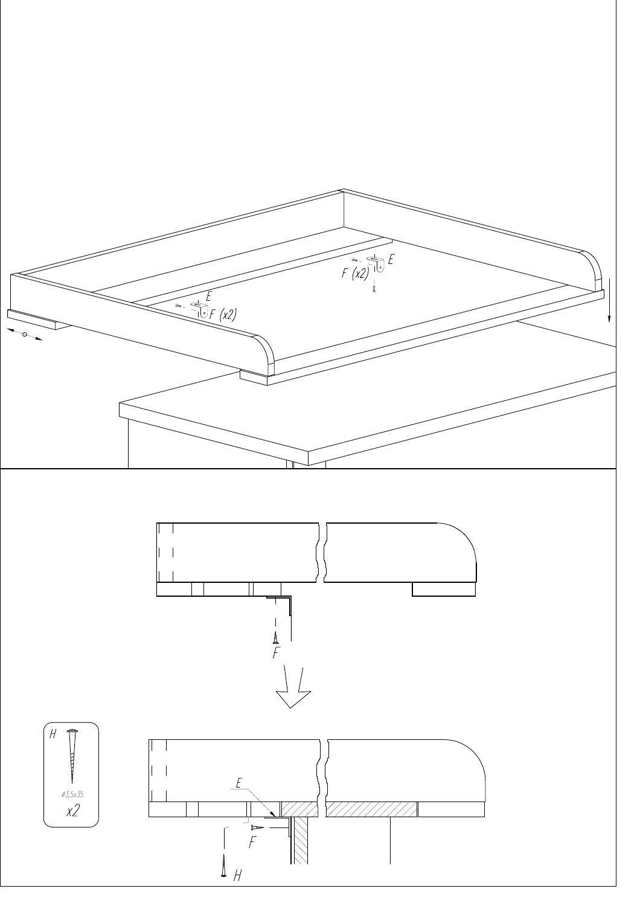